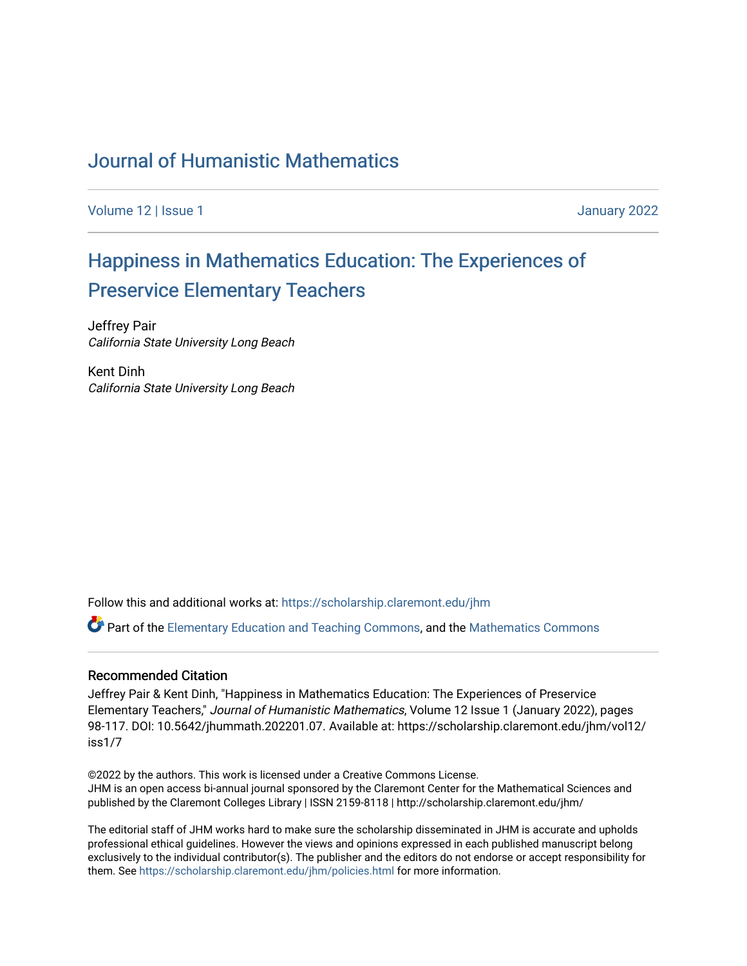# [Journal of Humanistic Mathematics](https://scholarship.claremont.edu/jhm)

[Volume 12](https://scholarship.claremont.edu/jhm/vol12) | Issue 1 January 2022

# [Happiness in Mathematics Education: The Experiences of](https://scholarship.claremont.edu/jhm/vol12/iss1/7) [Preservice Elementary Teachers](https://scholarship.claremont.edu/jhm/vol12/iss1/7)

Jeffrey Pair California State University Long Beach

Kent Dinh California State University Long Beach

Follow this and additional works at: [https://scholarship.claremont.edu/jhm](https://scholarship.claremont.edu/jhm?utm_source=scholarship.claremont.edu%2Fjhm%2Fvol12%2Fiss1%2F7&utm_medium=PDF&utm_campaign=PDFCoverPages)

 $\bullet$  Part of the [Elementary Education and Teaching Commons,](http://network.bepress.com/hgg/discipline/805?utm_source=scholarship.claremont.edu%2Fjhm%2Fvol12%2Fiss1%2F7&utm_medium=PDF&utm_campaign=PDFCoverPages) and the Mathematics Commons

#### Recommended Citation

Jeffrey Pair & Kent Dinh, "Happiness in Mathematics Education: The Experiences of Preservice Elementary Teachers," Journal of Humanistic Mathematics, Volume 12 Issue 1 (January 2022), pages 98-117. DOI: 10.5642/jhummath.202201.07. Available at: https://scholarship.claremont.edu/jhm/vol12/ iss1/7

©2022 by the authors. This work is licensed under a Creative Commons License. JHM is an open access bi-annual journal sponsored by the Claremont Center for the Mathematical Sciences and published by the Claremont Colleges Library | ISSN 2159-8118 | http://scholarship.claremont.edu/jhm/

The editorial staff of JHM works hard to make sure the scholarship disseminated in JHM is accurate and upholds professional ethical guidelines. However the views and opinions expressed in each published manuscript belong exclusively to the individual contributor(s). The publisher and the editors do not endorse or accept responsibility for them. See<https://scholarship.claremont.edu/jhm/policies.html> for more information.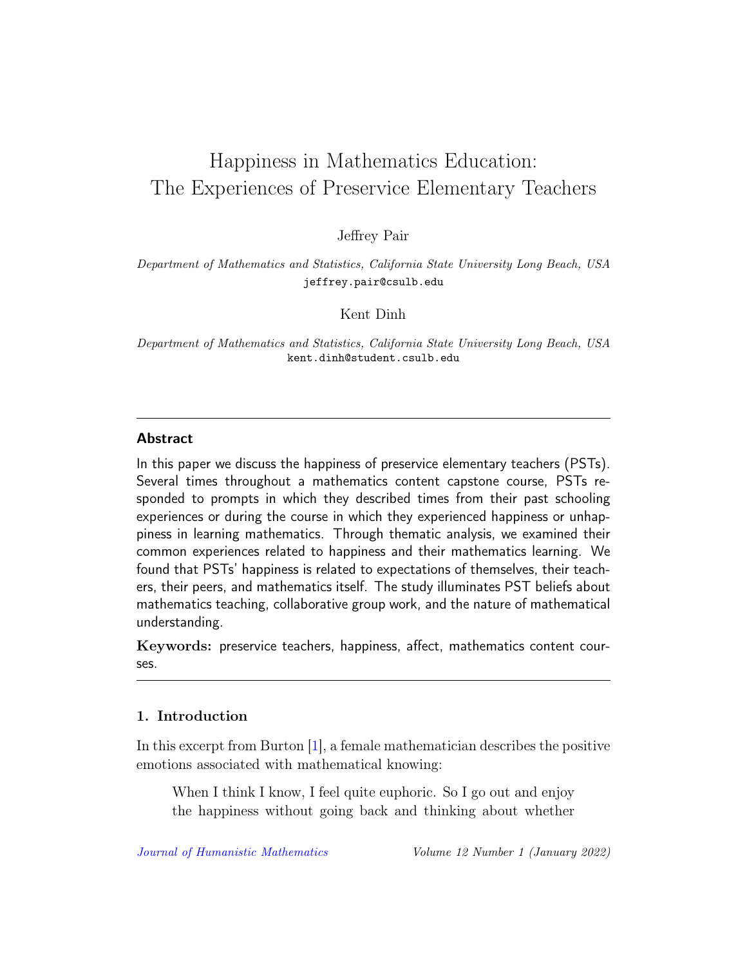# Happiness in Mathematics Education: The Experiences of Preservice Elementary Teachers

Jeffrey Pair

Department of Mathematics and Statistics, California State University Long Beach, USA jeffrey.pair@csulb.edu

Kent Dinh

Department of Mathematics and Statistics, California State University Long Beach, USA kent.dinh@student.csulb.edu

#### Abstract

In this paper we discuss the happiness of preservice elementary teachers (PSTs). Several times throughout a mathematics content capstone course, PSTs responded to prompts in which they described times from their past schooling experiences or during the course in which they experienced happiness or unhappiness in learning mathematics. Through thematic analysis, we examined their common experiences related to happiness and their mathematics learning. We found that PSTs' happiness is related to expectations of themselves, their teachers, their peers, and mathematics itself. The study illuminates PST beliefs about mathematics teaching, collaborative group work, and the nature of mathematical understanding.

Keywords: preservice teachers, happiness, affect, mathematics content courses.

#### 1. Introduction

In this excerpt from Burton [\[1\]](#page-19-0), a female mathematician describes the positive emotions associated with mathematical knowing:

When I think I know, I feel quite euphoric. So I go out and enjoy the happiness without going back and thinking about whether

[Journal of Humanistic Mathematics](http://scholarship.claremont.edu/jhm/) Volume 12 Number 1 (January 2022)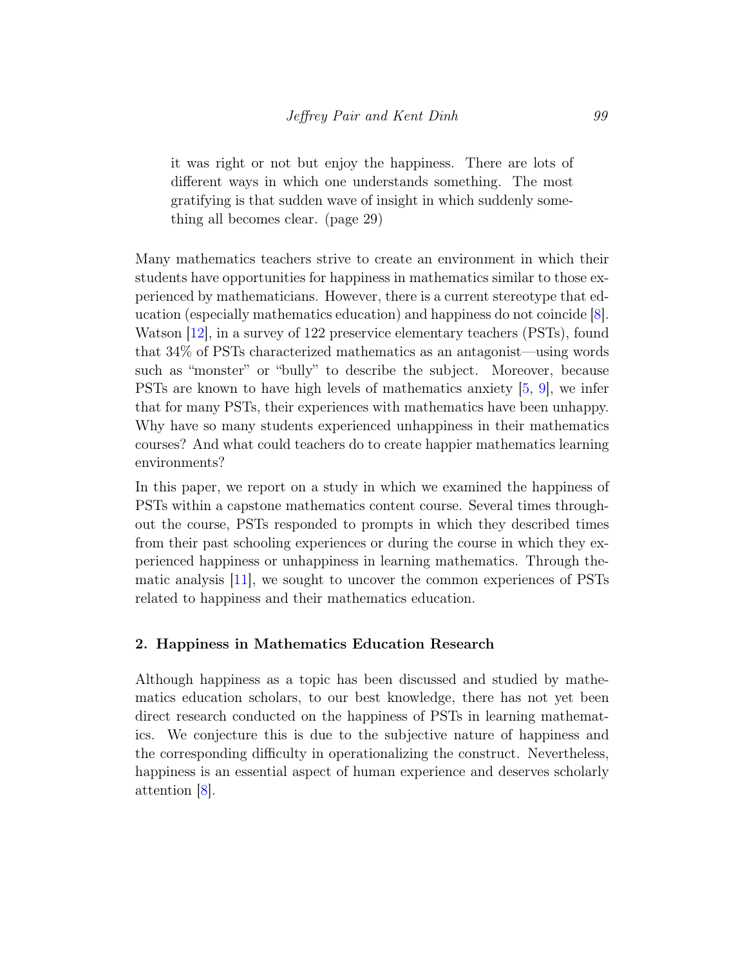it was right or not but enjoy the happiness. There are lots of different ways in which one understands something. The most gratifying is that sudden wave of insight in which suddenly something all becomes clear. (page 29)

Many mathematics teachers strive to create an environment in which their students have opportunities for happiness in mathematics similar to those experienced by mathematicians. However, there is a current stereotype that education (especially mathematics education) and happiness do not coincide [\[8\]](#page-20-0). Watson [\[12\]](#page-20-1), in a survey of 122 preservice elementary teachers (PSTs), found that 34% of PSTs characterized mathematics as an antagonist—using words such as "monster" or "bully" to describe the subject. Moreover, because PSTs are known to have high levels of mathematics anxiety [\[5,](#page-20-2) [9\]](#page-20-3), we infer that for many PSTs, their experiences with mathematics have been unhappy. Why have so many students experienced unhappiness in their mathematics courses? And what could teachers do to create happier mathematics learning environments?

In this paper, we report on a study in which we examined the happiness of PSTs within a capstone mathematics content course. Several times throughout the course, PSTs responded to prompts in which they described times from their past schooling experiences or during the course in which they experienced happiness or unhappiness in learning mathematics. Through thematic analysis [\[11\]](#page-20-4), we sought to uncover the common experiences of PSTs related to happiness and their mathematics education.

## 2. Happiness in Mathematics Education Research

Although happiness as a topic has been discussed and studied by mathematics education scholars, to our best knowledge, there has not yet been direct research conducted on the happiness of PSTs in learning mathematics. We conjecture this is due to the subjective nature of happiness and the corresponding difficulty in operationalizing the construct. Nevertheless, happiness is an essential aspect of human experience and deserves scholarly attention [\[8\]](#page-20-0).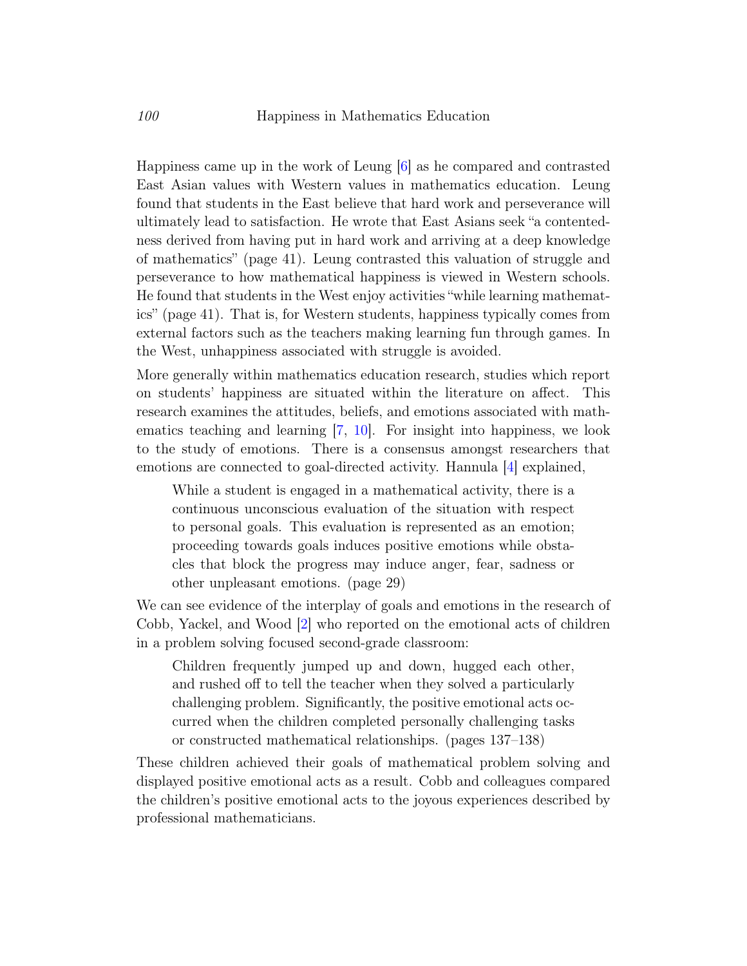Happiness came up in the work of Leung [\[6\]](#page-20-5) as he compared and contrasted East Asian values with Western values in mathematics education. Leung found that students in the East believe that hard work and perseverance will ultimately lead to satisfaction. He wrote that East Asians seek "a contentedness derived from having put in hard work and arriving at a deep knowledge of mathematics" (page 41). Leung contrasted this valuation of struggle and perseverance to how mathematical happiness is viewed in Western schools. He found that students in the West enjoy activities "while learning mathematics" (page 41). That is, for Western students, happiness typically comes from external factors such as the teachers making learning fun through games. In the West, unhappiness associated with struggle is avoided.

More generally within mathematics education research, studies which report on students' happiness are situated within the literature on affect. This research examines the attitudes, beliefs, and emotions associated with mathematics teaching and learning [\[7,](#page-20-6) [10\]](#page-20-7). For insight into happiness, we look to the study of emotions. There is a consensus amongst researchers that emotions are connected to goal-directed activity. Hannula [\[4\]](#page-19-1) explained,

While a student is engaged in a mathematical activity, there is a continuous unconscious evaluation of the situation with respect to personal goals. This evaluation is represented as an emotion; proceeding towards goals induces positive emotions while obstacles that block the progress may induce anger, fear, sadness or other unpleasant emotions. (page 29)

We can see evidence of the interplay of goals and emotions in the research of Cobb, Yackel, and Wood [\[2\]](#page-19-2) who reported on the emotional acts of children in a problem solving focused second-grade classroom:

Children frequently jumped up and down, hugged each other, and rushed off to tell the teacher when they solved a particularly challenging problem. Significantly, the positive emotional acts occurred when the children completed personally challenging tasks or constructed mathematical relationships. (pages 137–138)

These children achieved their goals of mathematical problem solving and displayed positive emotional acts as a result. Cobb and colleagues compared the children's positive emotional acts to the joyous experiences described by professional mathematicians.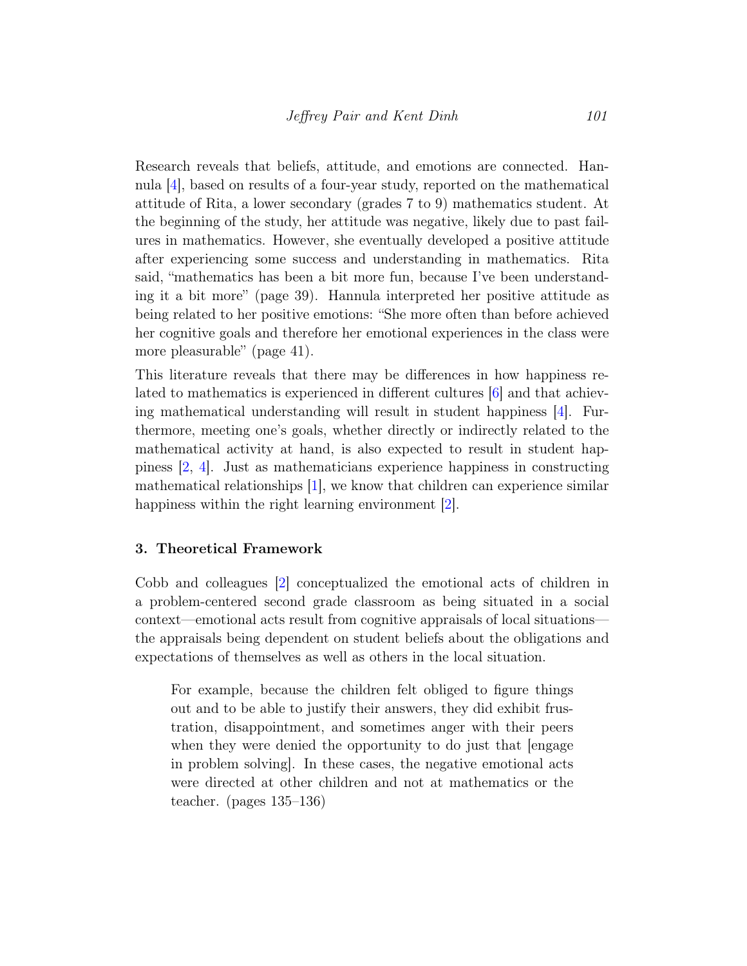Research reveals that beliefs, attitude, and emotions are connected. Hannula [\[4\]](#page-19-1), based on results of a four-year study, reported on the mathematical attitude of Rita, a lower secondary (grades 7 to 9) mathematics student. At the beginning of the study, her attitude was negative, likely due to past failures in mathematics. However, she eventually developed a positive attitude after experiencing some success and understanding in mathematics. Rita said, "mathematics has been a bit more fun, because I've been understanding it a bit more" (page 39). Hannula interpreted her positive attitude as being related to her positive emotions: "She more often than before achieved her cognitive goals and therefore her emotional experiences in the class were more pleasurable" (page 41).

This literature reveals that there may be differences in how happiness related to mathematics is experienced in different cultures [\[6\]](#page-20-5) and that achieving mathematical understanding will result in student happiness [\[4\]](#page-19-1). Furthermore, meeting one's goals, whether directly or indirectly related to the mathematical activity at hand, is also expected to result in student happiness [\[2,](#page-19-2) [4\]](#page-19-1). Just as mathematicians experience happiness in constructing mathematical relationships [\[1\]](#page-19-0), we know that children can experience similar happiness within the right learning environment [\[2\]](#page-19-2).

#### 3. Theoretical Framework

Cobb and colleagues [\[2\]](#page-19-2) conceptualized the emotional acts of children in a problem-centered second grade classroom as being situated in a social context—emotional acts result from cognitive appraisals of local situations the appraisals being dependent on student beliefs about the obligations and expectations of themselves as well as others in the local situation.

For example, because the children felt obliged to figure things out and to be able to justify their answers, they did exhibit frustration, disappointment, and sometimes anger with their peers when they were denied the opportunity to do just that  $\ell$ engage in problem solving]. In these cases, the negative emotional acts were directed at other children and not at mathematics or the teacher. (pages 135–136)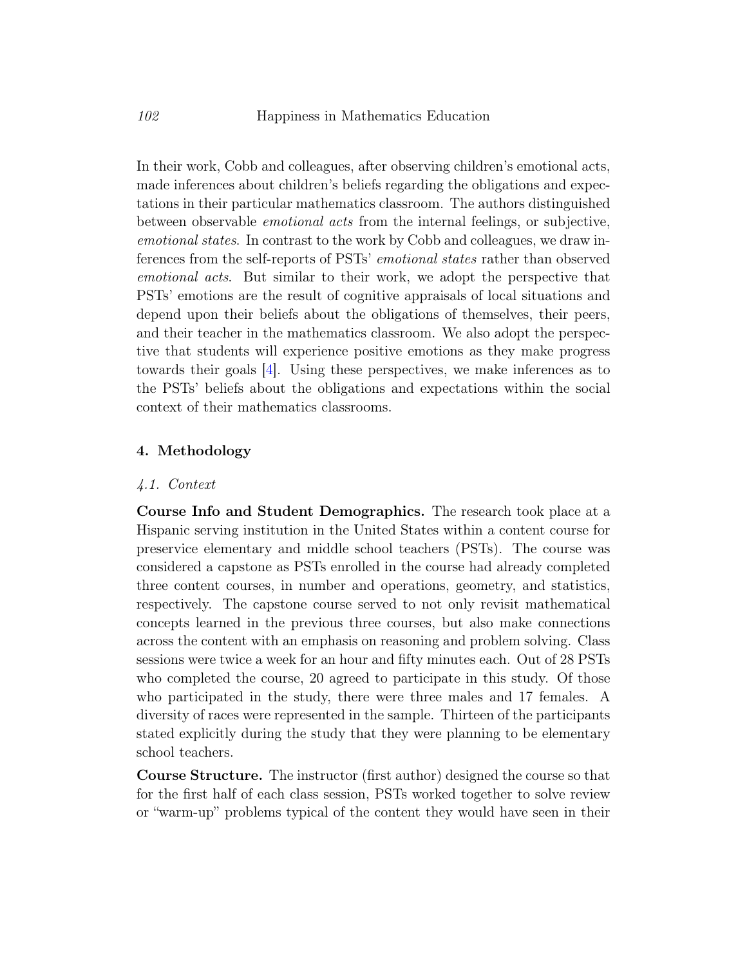In their work, Cobb and colleagues, after observing children's emotional acts, made inferences about children's beliefs regarding the obligations and expectations in their particular mathematics classroom. The authors distinguished between observable emotional acts from the internal feelings, or subjective, emotional states. In contrast to the work by Cobb and colleagues, we draw inferences from the self-reports of PSTs' emotional states rather than observed emotional acts. But similar to their work, we adopt the perspective that PSTs' emotions are the result of cognitive appraisals of local situations and depend upon their beliefs about the obligations of themselves, their peers, and their teacher in the mathematics classroom. We also adopt the perspective that students will experience positive emotions as they make progress towards their goals [\[4\]](#page-19-1). Using these perspectives, we make inferences as to the PSTs' beliefs about the obligations and expectations within the social context of their mathematics classrooms.

#### 4. Methodology

#### 4.1. Context

Course Info and Student Demographics. The research took place at a Hispanic serving institution in the United States within a content course for preservice elementary and middle school teachers (PSTs). The course was considered a capstone as PSTs enrolled in the course had already completed three content courses, in number and operations, geometry, and statistics, respectively. The capstone course served to not only revisit mathematical concepts learned in the previous three courses, but also make connections across the content with an emphasis on reasoning and problem solving. Class sessions were twice a week for an hour and fifty minutes each. Out of 28 PSTs who completed the course, 20 agreed to participate in this study. Of those who participated in the study, there were three males and 17 females. A diversity of races were represented in the sample. Thirteen of the participants stated explicitly during the study that they were planning to be elementary school teachers.

Course Structure. The instructor (first author) designed the course so that for the first half of each class session, PSTs worked together to solve review or "warm-up" problems typical of the content they would have seen in their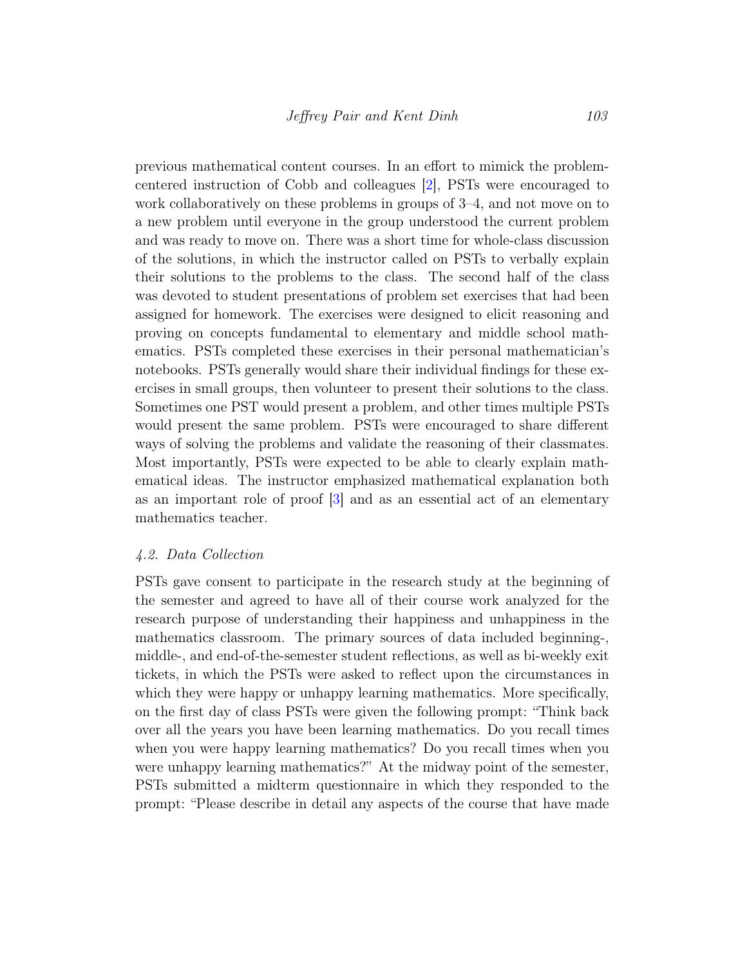previous mathematical content courses. In an effort to mimick the problemcentered instruction of Cobb and colleagues [\[2\]](#page-19-2), PSTs were encouraged to work collaboratively on these problems in groups of 3–4, and not move on to a new problem until everyone in the group understood the current problem and was ready to move on. There was a short time for whole-class discussion of the solutions, in which the instructor called on PSTs to verbally explain their solutions to the problems to the class. The second half of the class was devoted to student presentations of problem set exercises that had been assigned for homework. The exercises were designed to elicit reasoning and proving on concepts fundamental to elementary and middle school mathematics. PSTs completed these exercises in their personal mathematician's notebooks. PSTs generally would share their individual findings for these exercises in small groups, then volunteer to present their solutions to the class. Sometimes one PST would present a problem, and other times multiple PSTs would present the same problem. PSTs were encouraged to share different ways of solving the problems and validate the reasoning of their classmates. Most importantly, PSTs were expected to be able to clearly explain mathematical ideas. The instructor emphasized mathematical explanation both as an important role of proof [\[3\]](#page-19-3) and as an essential act of an elementary mathematics teacher.

#### 4.2. Data Collection

PSTs gave consent to participate in the research study at the beginning of the semester and agreed to have all of their course work analyzed for the research purpose of understanding their happiness and unhappiness in the mathematics classroom. The primary sources of data included beginning-, middle-, and end-of-the-semester student reflections, as well as bi-weekly exit tickets, in which the PSTs were asked to reflect upon the circumstances in which they were happy or unhappy learning mathematics. More specifically, on the first day of class PSTs were given the following prompt: "Think back over all the years you have been learning mathematics. Do you recall times when you were happy learning mathematics? Do you recall times when you were unhappy learning mathematics?" At the midway point of the semester, PSTs submitted a midterm questionnaire in which they responded to the prompt: "Please describe in detail any aspects of the course that have made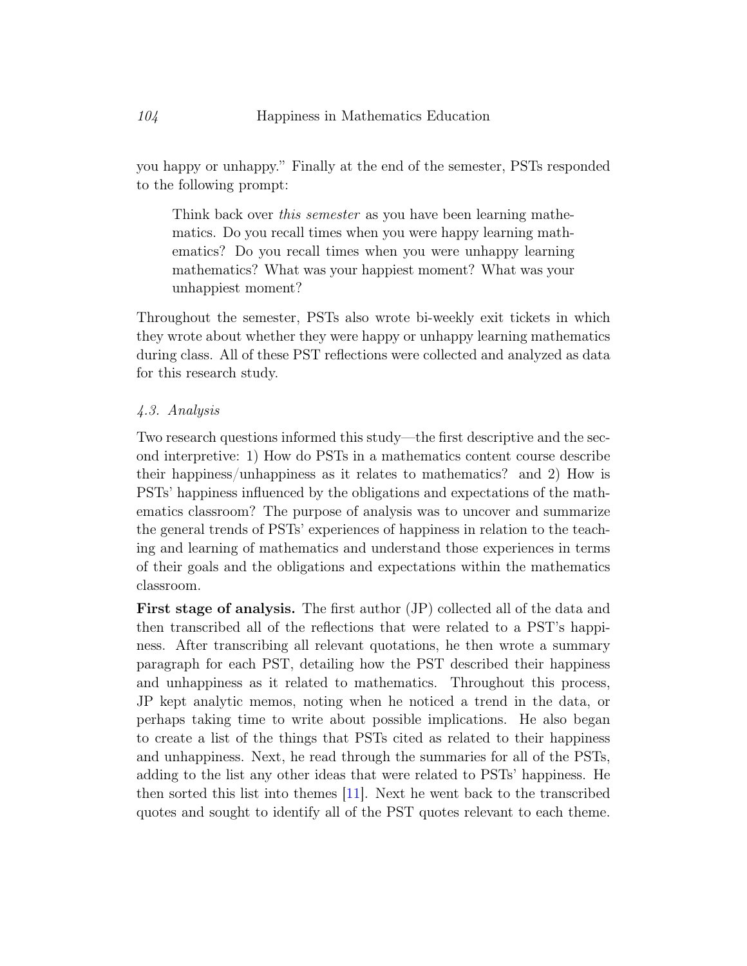you happy or unhappy." Finally at the end of the semester, PSTs responded to the following prompt:

Think back over *this semester* as you have been learning mathematics. Do you recall times when you were happy learning mathematics? Do you recall times when you were unhappy learning mathematics? What was your happiest moment? What was your unhappiest moment?

Throughout the semester, PSTs also wrote bi-weekly exit tickets in which they wrote about whether they were happy or unhappy learning mathematics during class. All of these PST reflections were collected and analyzed as data for this research study.

### 4.3. Analysis

Two research questions informed this study—the first descriptive and the second interpretive: 1) How do PSTs in a mathematics content course describe their happiness/unhappiness as it relates to mathematics? and 2) How is PSTs' happiness influenced by the obligations and expectations of the mathematics classroom? The purpose of analysis was to uncover and summarize the general trends of PSTs' experiences of happiness in relation to the teaching and learning of mathematics and understand those experiences in terms of their goals and the obligations and expectations within the mathematics classroom.

First stage of analysis. The first author (JP) collected all of the data and then transcribed all of the reflections that were related to a PST's happiness. After transcribing all relevant quotations, he then wrote a summary paragraph for each PST, detailing how the PST described their happiness and unhappiness as it related to mathematics. Throughout this process, JP kept analytic memos, noting when he noticed a trend in the data, or perhaps taking time to write about possible implications. He also began to create a list of the things that PSTs cited as related to their happiness and unhappiness. Next, he read through the summaries for all of the PSTs, adding to the list any other ideas that were related to PSTs' happiness. He then sorted this list into themes [\[11\]](#page-20-4). Next he went back to the transcribed quotes and sought to identify all of the PST quotes relevant to each theme.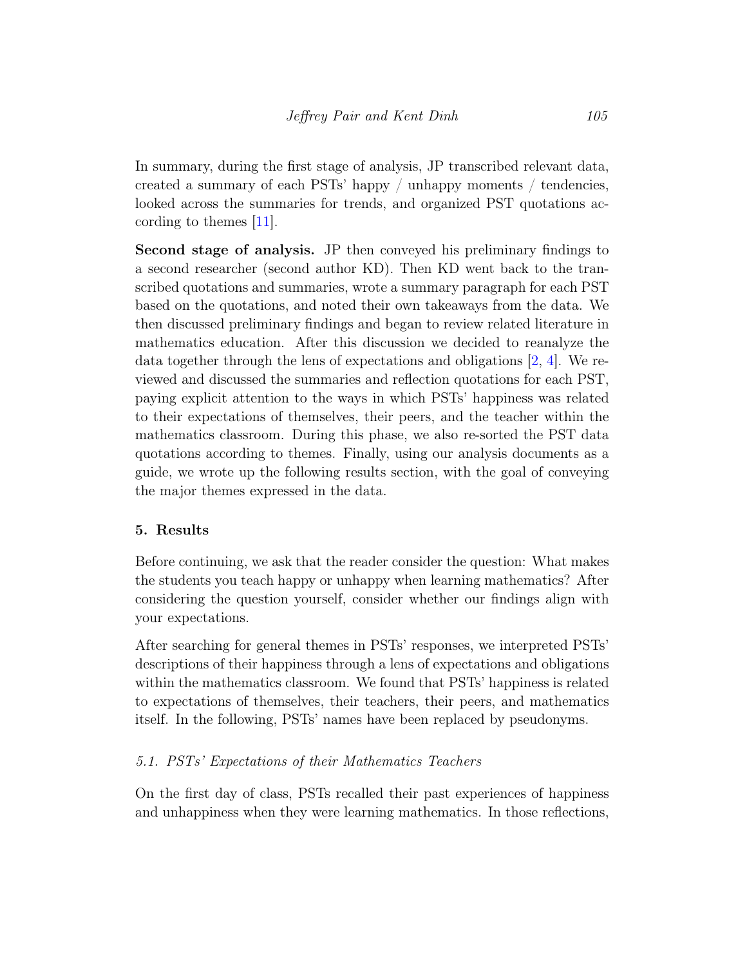In summary, during the first stage of analysis, JP transcribed relevant data, created a summary of each PSTs' happy  $\ell$  unhappy moments  $\ell$  tendencies, looked across the summaries for trends, and organized PST quotations according to themes [\[11\]](#page-20-4).

Second stage of analysis. JP then conveyed his preliminary findings to a second researcher (second author KD). Then KD went back to the transcribed quotations and summaries, wrote a summary paragraph for each PST based on the quotations, and noted their own takeaways from the data. We then discussed preliminary findings and began to review related literature in mathematics education. After this discussion we decided to reanalyze the data together through the lens of expectations and obligations [\[2,](#page-19-2) [4\]](#page-19-1). We reviewed and discussed the summaries and reflection quotations for each PST, paying explicit attention to the ways in which PSTs' happiness was related to their expectations of themselves, their peers, and the teacher within the mathematics classroom. During this phase, we also re-sorted the PST data quotations according to themes. Finally, using our analysis documents as a guide, we wrote up the following results section, with the goal of conveying the major themes expressed in the data.

### 5. Results

Before continuing, we ask that the reader consider the question: What makes the students you teach happy or unhappy when learning mathematics? After considering the question yourself, consider whether our findings align with your expectations.

After searching for general themes in PSTs' responses, we interpreted PSTs' descriptions of their happiness through a lens of expectations and obligations within the mathematics classroom. We found that PSTs' happiness is related to expectations of themselves, their teachers, their peers, and mathematics itself. In the following, PSTs' names have been replaced by pseudonyms.

### 5.1. PSTs' Expectations of their Mathematics Teachers

On the first day of class, PSTs recalled their past experiences of happiness and unhappiness when they were learning mathematics. In those reflections,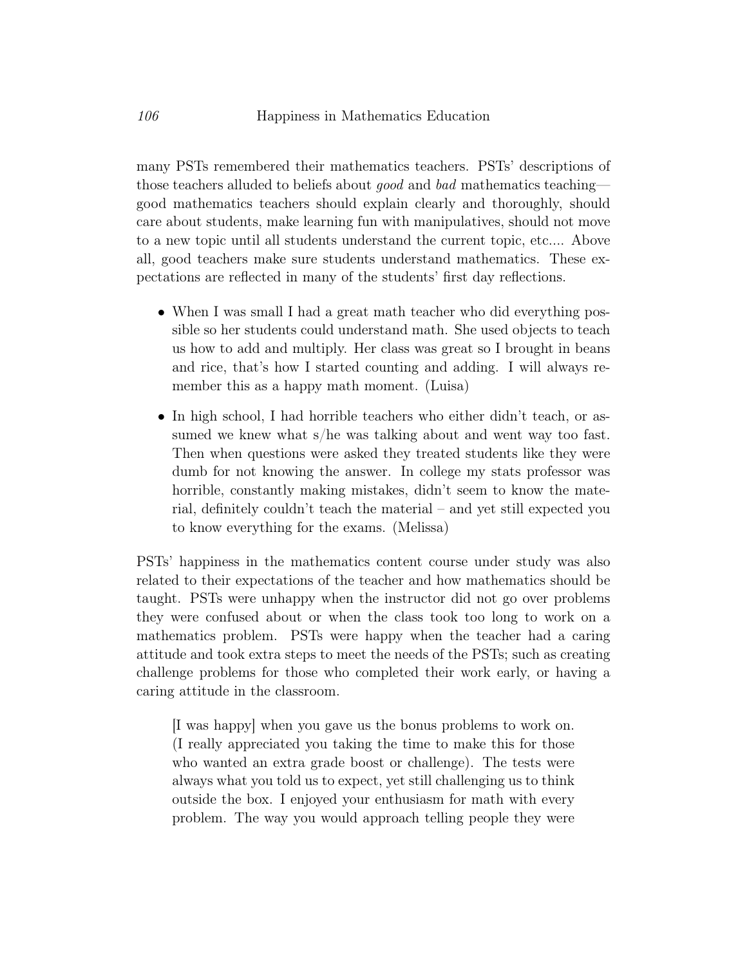many PSTs remembered their mathematics teachers. PSTs' descriptions of those teachers alluded to beliefs about good and bad mathematics teaching good mathematics teachers should explain clearly and thoroughly, should care about students, make learning fun with manipulatives, should not move to a new topic until all students understand the current topic, etc.... Above all, good teachers make sure students understand mathematics. These expectations are reflected in many of the students' first day reflections.

- When I was small I had a great math teacher who did everything possible so her students could understand math. She used objects to teach us how to add and multiply. Her class was great so I brought in beans and rice, that's how I started counting and adding. I will always remember this as a happy math moment. (Luisa)
- In high school, I had horrible teachers who either didn't teach, or assumed we knew what s/he was talking about and went way too fast. Then when questions were asked they treated students like they were dumb for not knowing the answer. In college my stats professor was horrible, constantly making mistakes, didn't seem to know the material, definitely couldn't teach the material – and yet still expected you to know everything for the exams. (Melissa)

PSTs' happiness in the mathematics content course under study was also related to their expectations of the teacher and how mathematics should be taught. PSTs were unhappy when the instructor did not go over problems they were confused about or when the class took too long to work on a mathematics problem. PSTs were happy when the teacher had a caring attitude and took extra steps to meet the needs of the PSTs; such as creating challenge problems for those who completed their work early, or having a caring attitude in the classroom.

[I was happy] when you gave us the bonus problems to work on. (I really appreciated you taking the time to make this for those who wanted an extra grade boost or challenge). The tests were always what you told us to expect, yet still challenging us to think outside the box. I enjoyed your enthusiasm for math with every problem. The way you would approach telling people they were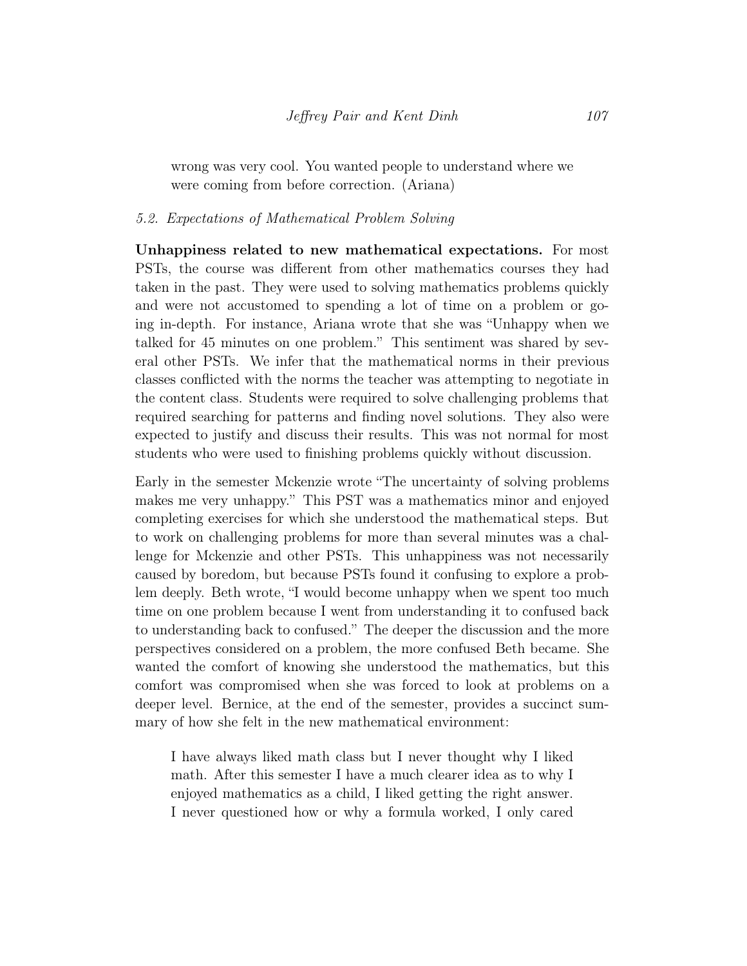wrong was very cool. You wanted people to understand where we were coming from before correction. (Ariana)

#### 5.2. Expectations of Mathematical Problem Solving

Unhappiness related to new mathematical expectations. For most PSTs, the course was different from other mathematics courses they had taken in the past. They were used to solving mathematics problems quickly and were not accustomed to spending a lot of time on a problem or going in-depth. For instance, Ariana wrote that she was "Unhappy when we talked for 45 minutes on one problem." This sentiment was shared by several other PSTs. We infer that the mathematical norms in their previous classes conflicted with the norms the teacher was attempting to negotiate in the content class. Students were required to solve challenging problems that required searching for patterns and finding novel solutions. They also were expected to justify and discuss their results. This was not normal for most students who were used to finishing problems quickly without discussion.

Early in the semester Mckenzie wrote "The uncertainty of solving problems makes me very unhappy." This PST was a mathematics minor and enjoyed completing exercises for which she understood the mathematical steps. But to work on challenging problems for more than several minutes was a challenge for Mckenzie and other PSTs. This unhappiness was not necessarily caused by boredom, but because PSTs found it confusing to explore a problem deeply. Beth wrote, "I would become unhappy when we spent too much time on one problem because I went from understanding it to confused back to understanding back to confused." The deeper the discussion and the more perspectives considered on a problem, the more confused Beth became. She wanted the comfort of knowing she understood the mathematics, but this comfort was compromised when she was forced to look at problems on a deeper level. Bernice, at the end of the semester, provides a succinct summary of how she felt in the new mathematical environment:

I have always liked math class but I never thought why I liked math. After this semester I have a much clearer idea as to why I enjoyed mathematics as a child, I liked getting the right answer. I never questioned how or why a formula worked, I only cared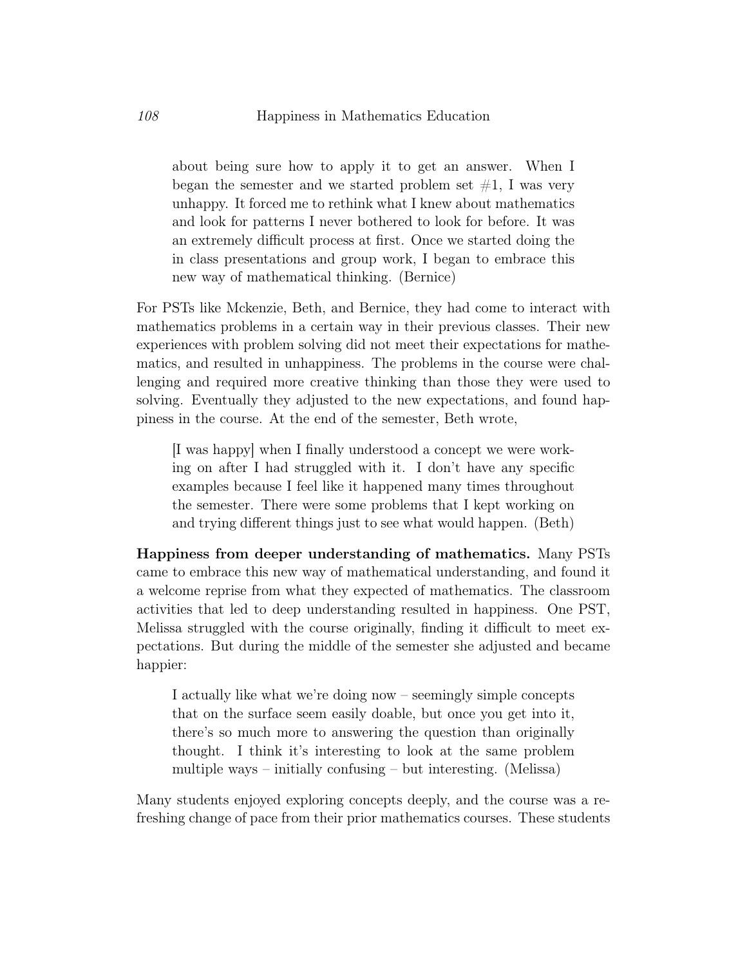about being sure how to apply it to get an answer. When I began the semester and we started problem set  $\#1$ , I was very unhappy. It forced me to rethink what I knew about mathematics and look for patterns I never bothered to look for before. It was an extremely difficult process at first. Once we started doing the in class presentations and group work, I began to embrace this new way of mathematical thinking. (Bernice)

For PSTs like Mckenzie, Beth, and Bernice, they had come to interact with mathematics problems in a certain way in their previous classes. Their new experiences with problem solving did not meet their expectations for mathematics, and resulted in unhappiness. The problems in the course were challenging and required more creative thinking than those they were used to solving. Eventually they adjusted to the new expectations, and found happiness in the course. At the end of the semester, Beth wrote,

[I was happy] when I finally understood a concept we were working on after I had struggled with it. I don't have any specific examples because I feel like it happened many times throughout the semester. There were some problems that I kept working on and trying different things just to see what would happen. (Beth)

Happiness from deeper understanding of mathematics. Many PSTs came to embrace this new way of mathematical understanding, and found it a welcome reprise from what they expected of mathematics. The classroom activities that led to deep understanding resulted in happiness. One PST, Melissa struggled with the course originally, finding it difficult to meet expectations. But during the middle of the semester she adjusted and became happier:

I actually like what we're doing now – seemingly simple concepts that on the surface seem easily doable, but once you get into it, there's so much more to answering the question than originally thought. I think it's interesting to look at the same problem multiple ways – initially confusing – but interesting. (Melissa)

Many students enjoyed exploring concepts deeply, and the course was a refreshing change of pace from their prior mathematics courses. These students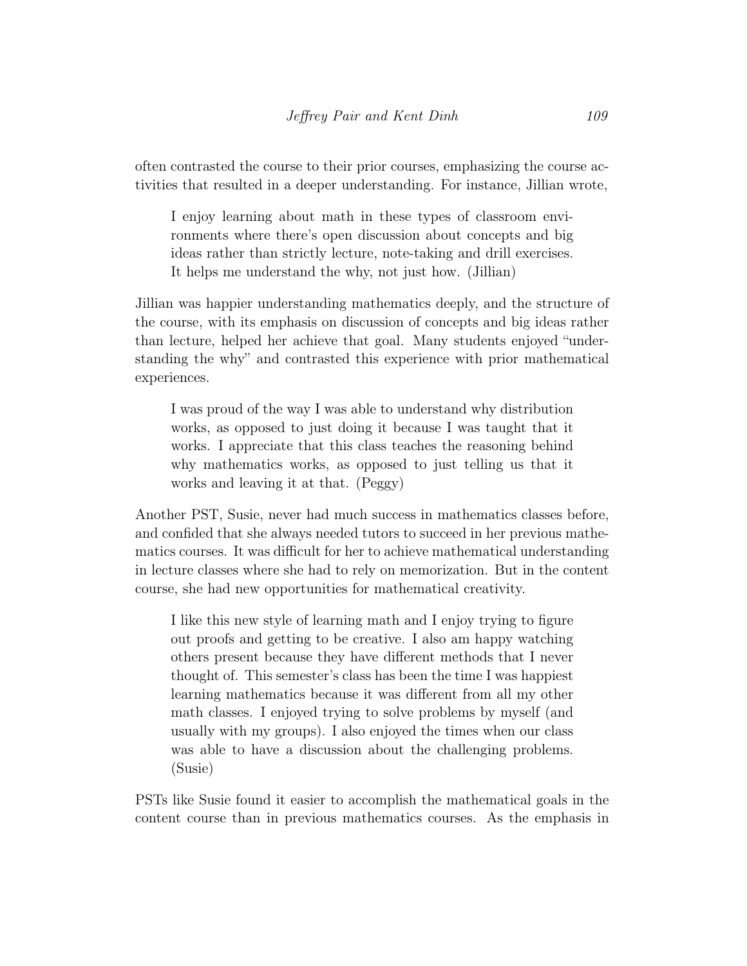often contrasted the course to their prior courses, emphasizing the course activities that resulted in a deeper understanding. For instance, Jillian wrote,

I enjoy learning about math in these types of classroom environments where there's open discussion about concepts and big ideas rather than strictly lecture, note-taking and drill exercises. It helps me understand the why, not just how. (Jillian)

Jillian was happier understanding mathematics deeply, and the structure of the course, with its emphasis on discussion of concepts and big ideas rather than lecture, helped her achieve that goal. Many students enjoyed "understanding the why" and contrasted this experience with prior mathematical experiences.

I was proud of the way I was able to understand why distribution works, as opposed to just doing it because I was taught that it works. I appreciate that this class teaches the reasoning behind why mathematics works, as opposed to just telling us that it works and leaving it at that. (Peggy)

Another PST, Susie, never had much success in mathematics classes before, and confided that she always needed tutors to succeed in her previous mathematics courses. It was difficult for her to achieve mathematical understanding in lecture classes where she had to rely on memorization. But in the content course, she had new opportunities for mathematical creativity.

I like this new style of learning math and I enjoy trying to figure out proofs and getting to be creative. I also am happy watching others present because they have different methods that I never thought of. This semester's class has been the time I was happiest learning mathematics because it was different from all my other math classes. I enjoyed trying to solve problems by myself (and usually with my groups). I also enjoyed the times when our class was able to have a discussion about the challenging problems. (Susie)

PSTs like Susie found it easier to accomplish the mathematical goals in the content course than in previous mathematics courses. As the emphasis in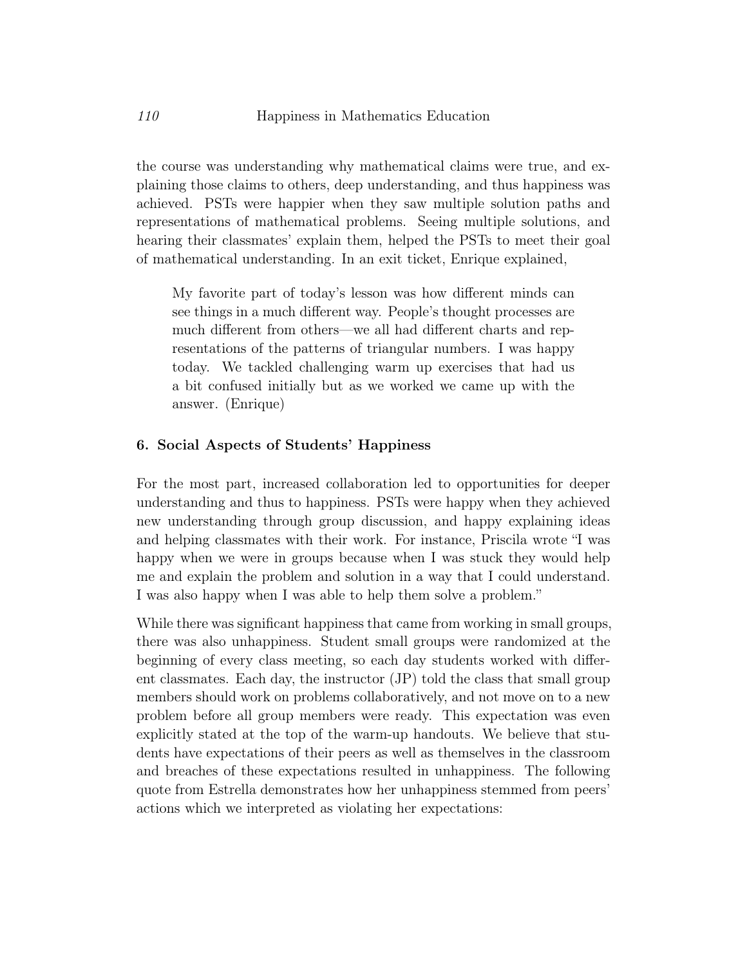the course was understanding why mathematical claims were true, and explaining those claims to others, deep understanding, and thus happiness was achieved. PSTs were happier when they saw multiple solution paths and representations of mathematical problems. Seeing multiple solutions, and hearing their classmates' explain them, helped the PSTs to meet their goal of mathematical understanding. In an exit ticket, Enrique explained,

My favorite part of today's lesson was how different minds can see things in a much different way. People's thought processes are much different from others—we all had different charts and representations of the patterns of triangular numbers. I was happy today. We tackled challenging warm up exercises that had us a bit confused initially but as we worked we came up with the answer. (Enrique)

#### 6. Social Aspects of Students' Happiness

For the most part, increased collaboration led to opportunities for deeper understanding and thus to happiness. PSTs were happy when they achieved new understanding through group discussion, and happy explaining ideas and helping classmates with their work. For instance, Priscila wrote "I was happy when we were in groups because when I was stuck they would help me and explain the problem and solution in a way that I could understand. I was also happy when I was able to help them solve a problem."

While there was significant happiness that came from working in small groups, there was also unhappiness. Student small groups were randomized at the beginning of every class meeting, so each day students worked with different classmates. Each day, the instructor (JP) told the class that small group members should work on problems collaboratively, and not move on to a new problem before all group members were ready. This expectation was even explicitly stated at the top of the warm-up handouts. We believe that students have expectations of their peers as well as themselves in the classroom and breaches of these expectations resulted in unhappiness. The following quote from Estrella demonstrates how her unhappiness stemmed from peers' actions which we interpreted as violating her expectations: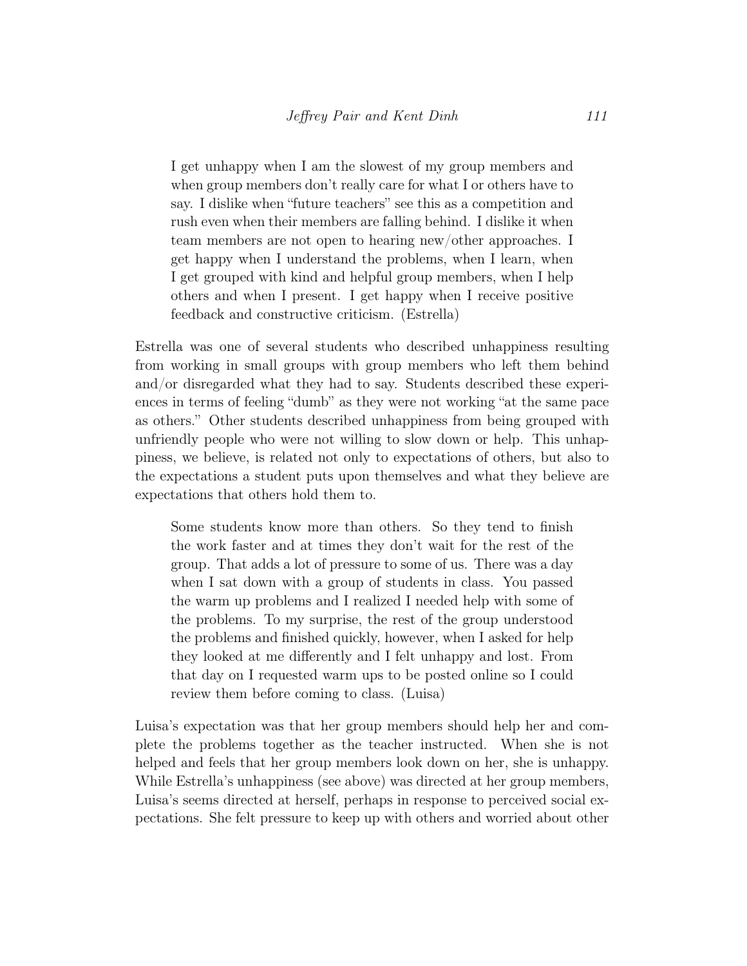I get unhappy when I am the slowest of my group members and when group members don't really care for what I or others have to say. I dislike when "future teachers" see this as a competition and rush even when their members are falling behind. I dislike it when team members are not open to hearing new/other approaches. I get happy when I understand the problems, when I learn, when I get grouped with kind and helpful group members, when I help others and when I present. I get happy when I receive positive feedback and constructive criticism. (Estrella)

Estrella was one of several students who described unhappiness resulting from working in small groups with group members who left them behind and/or disregarded what they had to say. Students described these experiences in terms of feeling "dumb" as they were not working "at the same pace as others." Other students described unhappiness from being grouped with unfriendly people who were not willing to slow down or help. This unhappiness, we believe, is related not only to expectations of others, but also to the expectations a student puts upon themselves and what they believe are expectations that others hold them to.

Some students know more than others. So they tend to finish the work faster and at times they don't wait for the rest of the group. That adds a lot of pressure to some of us. There was a day when I sat down with a group of students in class. You passed the warm up problems and I realized I needed help with some of the problems. To my surprise, the rest of the group understood the problems and finished quickly, however, when I asked for help they looked at me differently and I felt unhappy and lost. From that day on I requested warm ups to be posted online so I could review them before coming to class. (Luisa)

Luisa's expectation was that her group members should help her and complete the problems together as the teacher instructed. When she is not helped and feels that her group members look down on her, she is unhappy. While Estrella's unhappiness (see above) was directed at her group members, Luisa's seems directed at herself, perhaps in response to perceived social expectations. She felt pressure to keep up with others and worried about other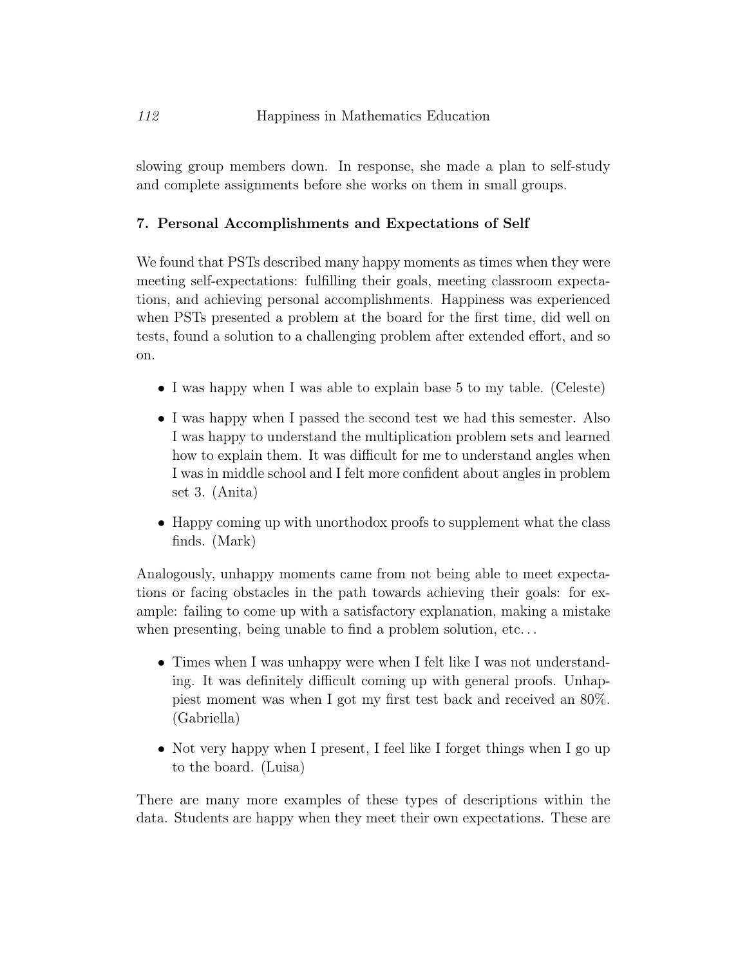slowing group members down. In response, she made a plan to self-study and complete assignments before she works on them in small groups.

## 7. Personal Accomplishments and Expectations of Self

We found that PSTs described many happy moments as times when they were meeting self-expectations: fulfilling their goals, meeting classroom expectations, and achieving personal accomplishments. Happiness was experienced when PSTs presented a problem at the board for the first time, did well on tests, found a solution to a challenging problem after extended effort, and so on.

- I was happy when I was able to explain base 5 to my table. (Celeste)
- I was happy when I passed the second test we had this semester. Also I was happy to understand the multiplication problem sets and learned how to explain them. It was difficult for me to understand angles when I was in middle school and I felt more confident about angles in problem set 3. (Anita)
- Happy coming up with unorthodox proofs to supplement what the class finds. (Mark)

Analogously, unhappy moments came from not being able to meet expectations or facing obstacles in the path towards achieving their goals: for example: failing to come up with a satisfactory explanation, making a mistake when presenting, being unable to find a problem solution, etc...

- Times when I was unhappy were when I felt like I was not understanding. It was definitely difficult coming up with general proofs. Unhappiest moment was when I got my first test back and received an 80%. (Gabriella)
- Not very happy when I present, I feel like I forget things when I go up to the board. (Luisa)

There are many more examples of these types of descriptions within the data. Students are happy when they meet their own expectations. These are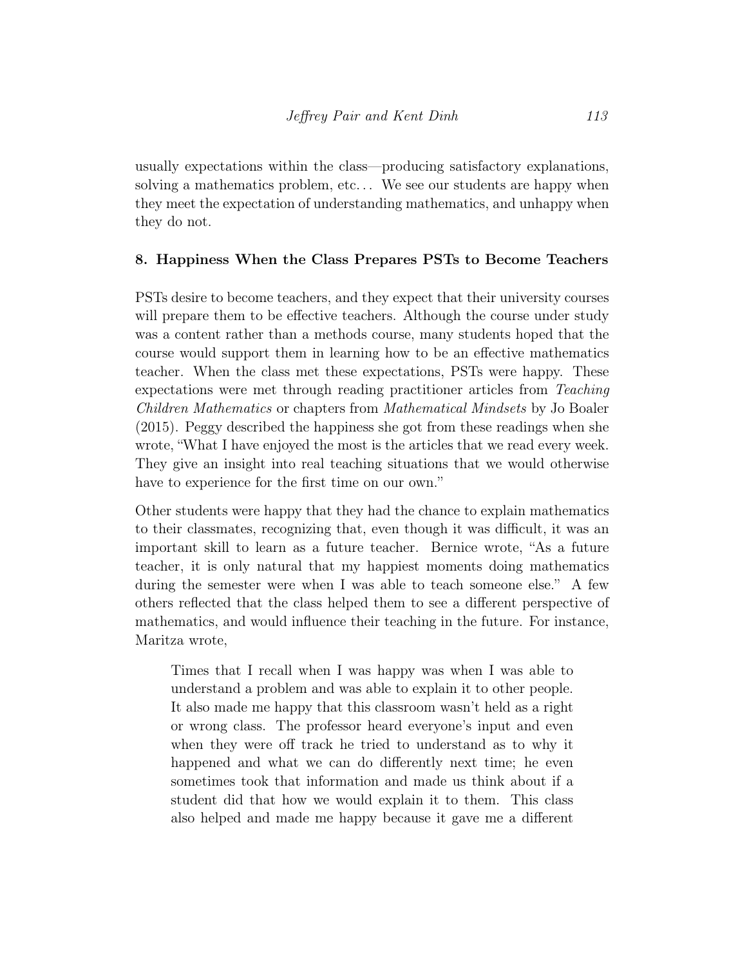usually expectations within the class—producing satisfactory explanations, solving a mathematics problem, etc. . . We see our students are happy when they meet the expectation of understanding mathematics, and unhappy when they do not.

## 8. Happiness When the Class Prepares PSTs to Become Teachers

PSTs desire to become teachers, and they expect that their university courses will prepare them to be effective teachers. Although the course under study was a content rather than a methods course, many students hoped that the course would support them in learning how to be an effective mathematics teacher. When the class met these expectations, PSTs were happy. These expectations were met through reading practitioner articles from Teaching Children Mathematics or chapters from Mathematical Mindsets by Jo Boaler (2015). Peggy described the happiness she got from these readings when she wrote, "What I have enjoyed the most is the articles that we read every week. They give an insight into real teaching situations that we would otherwise have to experience for the first time on our own."

Other students were happy that they had the chance to explain mathematics to their classmates, recognizing that, even though it was difficult, it was an important skill to learn as a future teacher. Bernice wrote, "As a future teacher, it is only natural that my happiest moments doing mathematics during the semester were when I was able to teach someone else." A few others reflected that the class helped them to see a different perspective of mathematics, and would influence their teaching in the future. For instance, Maritza wrote,

Times that I recall when I was happy was when I was able to understand a problem and was able to explain it to other people. It also made me happy that this classroom wasn't held as a right or wrong class. The professor heard everyone's input and even when they were off track he tried to understand as to why it happened and what we can do differently next time; he even sometimes took that information and made us think about if a student did that how we would explain it to them. This class also helped and made me happy because it gave me a different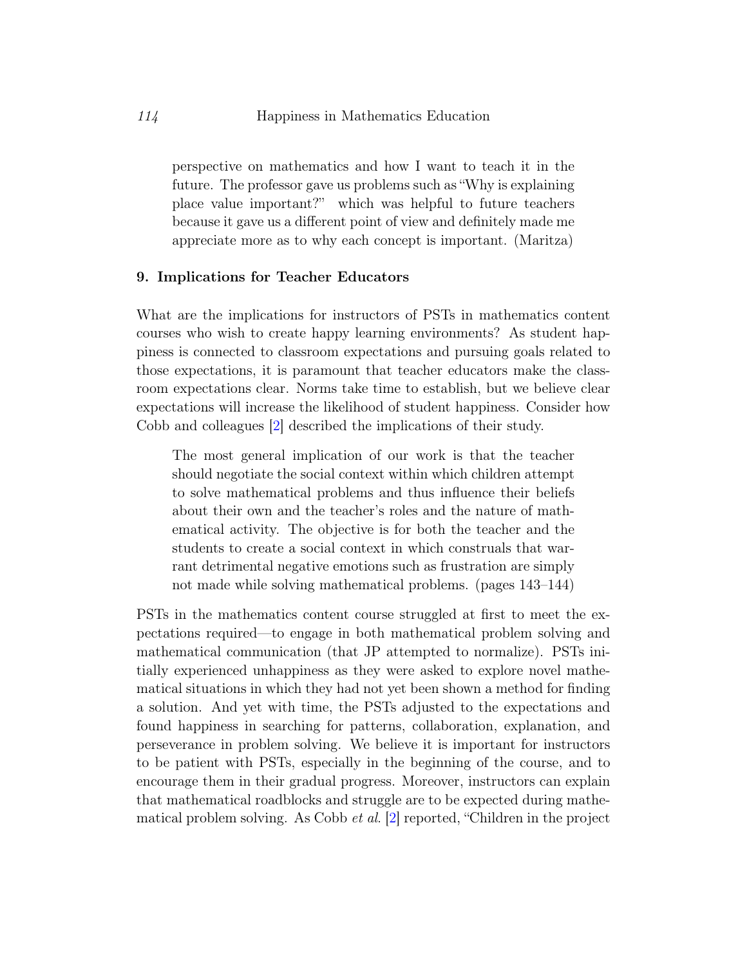perspective on mathematics and how I want to teach it in the future. The professor gave us problems such as "Why is explaining place value important?" which was helpful to future teachers because it gave us a different point of view and definitely made me appreciate more as to why each concept is important. (Maritza)

#### 9. Implications for Teacher Educators

What are the implications for instructors of PSTs in mathematics content courses who wish to create happy learning environments? As student happiness is connected to classroom expectations and pursuing goals related to those expectations, it is paramount that teacher educators make the classroom expectations clear. Norms take time to establish, but we believe clear expectations will increase the likelihood of student happiness. Consider how Cobb and colleagues [\[2\]](#page-19-2) described the implications of their study.

The most general implication of our work is that the teacher should negotiate the social context within which children attempt to solve mathematical problems and thus influence their beliefs about their own and the teacher's roles and the nature of mathematical activity. The objective is for both the teacher and the students to create a social context in which construals that warrant detrimental negative emotions such as frustration are simply not made while solving mathematical problems. (pages 143–144)

PSTs in the mathematics content course struggled at first to meet the expectations required—to engage in both mathematical problem solving and mathematical communication (that JP attempted to normalize). PSTs initially experienced unhappiness as they were asked to explore novel mathematical situations in which they had not yet been shown a method for finding a solution. And yet with time, the PSTs adjusted to the expectations and found happiness in searching for patterns, collaboration, explanation, and perseverance in problem solving. We believe it is important for instructors to be patient with PSTs, especially in the beginning of the course, and to encourage them in their gradual progress. Moreover, instructors can explain that mathematical roadblocks and struggle are to be expected during mathematical problem solving. As Cobb et al. [\[2\]](#page-19-2) reported, "Children in the project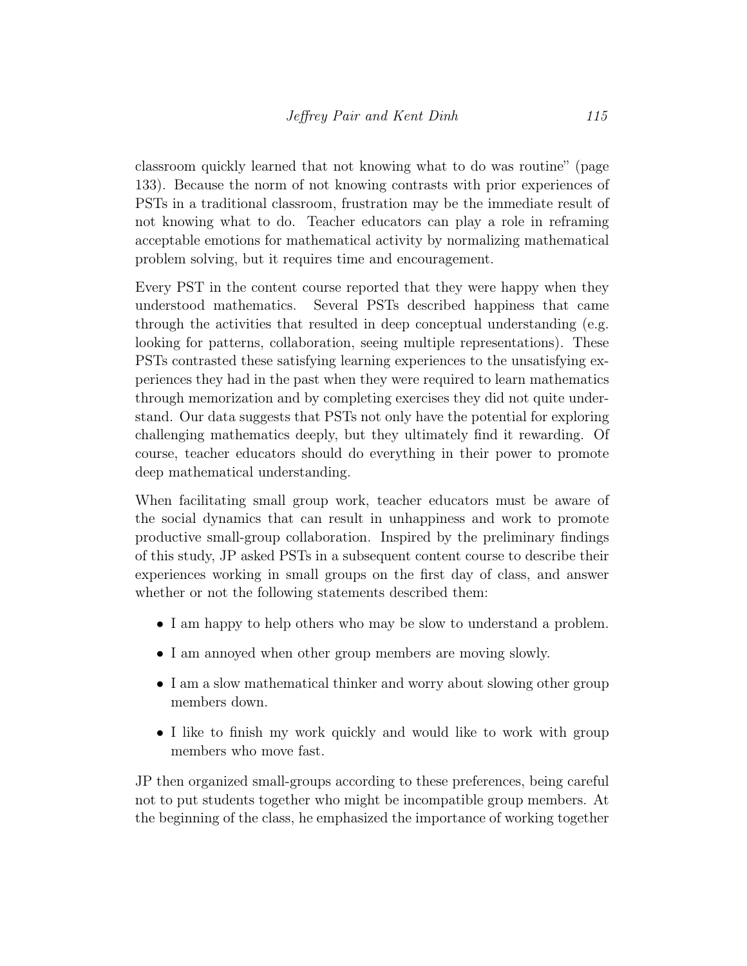classroom quickly learned that not knowing what to do was routine" (page 133). Because the norm of not knowing contrasts with prior experiences of PSTs in a traditional classroom, frustration may be the immediate result of not knowing what to do. Teacher educators can play a role in reframing acceptable emotions for mathematical activity by normalizing mathematical problem solving, but it requires time and encouragement.

Every PST in the content course reported that they were happy when they understood mathematics. Several PSTs described happiness that came through the activities that resulted in deep conceptual understanding (e.g. looking for patterns, collaboration, seeing multiple representations). These PSTs contrasted these satisfying learning experiences to the unsatisfying experiences they had in the past when they were required to learn mathematics through memorization and by completing exercises they did not quite understand. Our data suggests that PSTs not only have the potential for exploring challenging mathematics deeply, but they ultimately find it rewarding. Of course, teacher educators should do everything in their power to promote deep mathematical understanding.

When facilitating small group work, teacher educators must be aware of the social dynamics that can result in unhappiness and work to promote productive small-group collaboration. Inspired by the preliminary findings of this study, JP asked PSTs in a subsequent content course to describe their experiences working in small groups on the first day of class, and answer whether or not the following statements described them:

- I am happy to help others who may be slow to understand a problem.
- I am annoved when other group members are moving slowly.
- I am a slow mathematical thinker and worry about slowing other group members down.
- I like to finish my work quickly and would like to work with group members who move fast.

JP then organized small-groups according to these preferences, being careful not to put students together who might be incompatible group members. At the beginning of the class, he emphasized the importance of working together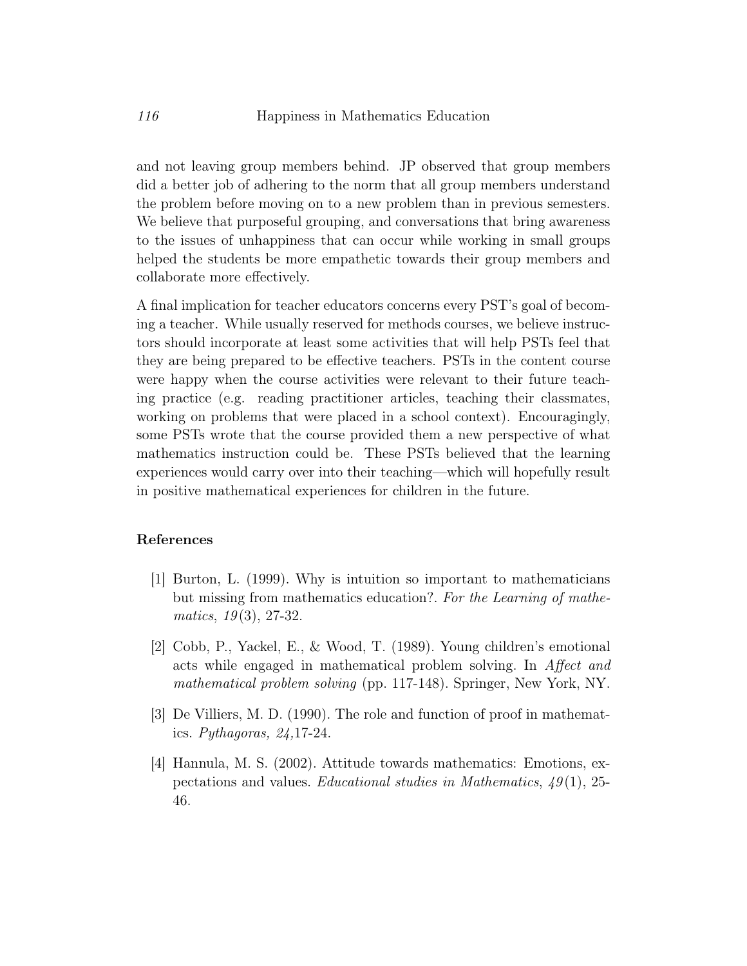and not leaving group members behind. JP observed that group members did a better job of adhering to the norm that all group members understand the problem before moving on to a new problem than in previous semesters. We believe that purposeful grouping, and conversations that bring awareness to the issues of unhappiness that can occur while working in small groups helped the students be more empathetic towards their group members and collaborate more effectively.

A final implication for teacher educators concerns every PST's goal of becoming a teacher. While usually reserved for methods courses, we believe instructors should incorporate at least some activities that will help PSTs feel that they are being prepared to be effective teachers. PSTs in the content course were happy when the course activities were relevant to their future teaching practice (e.g. reading practitioner articles, teaching their classmates, working on problems that were placed in a school context). Encouragingly, some PSTs wrote that the course provided them a new perspective of what mathematics instruction could be. These PSTs believed that the learning experiences would carry over into their teaching—which will hopefully result in positive mathematical experiences for children in the future.

#### References

- <span id="page-19-0"></span>[1] Burton, L. (1999). Why is intuition so important to mathematicians but missing from mathematics education?. For the Learning of mathe $matics, 19(3), 27-32.$
- <span id="page-19-2"></span>[2] Cobb, P., Yackel, E., & Wood, T. (1989). Young children's emotional acts while engaged in mathematical problem solving. In Affect and mathematical problem solving (pp. 117-148). Springer, New York, NY.
- <span id="page-19-3"></span>[3] De Villiers, M. D. (1990). The role and function of proof in mathematics. Pythagoras,  $24,17-24$ .
- <span id="page-19-1"></span>[4] Hannula, M. S. (2002). Attitude towards mathematics: Emotions, expectations and values. Educational studies in Mathematics,  $49(1)$ , 25-46.